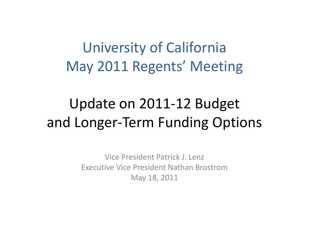## University of California May 2011 Regents' Meeting

## Update on 2011‐12 Budget and Longer‐Term Funding Options

Vice President Patrick J. Lenz Executive Vice President Nathan BrostromMay 18, 2011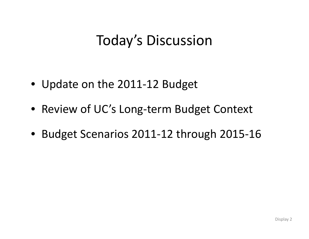## Today's Discussion

- Update on the 2011‐12 Budget
- Review of UC's Long‐term Budget Context
- Budget Scenarios 2011‐12 through 2015‐16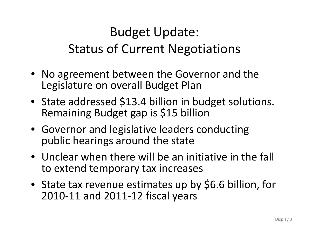## Budget Update: Status of Current Negotiations

- No agreement between the Governor and the Legislature on overall Budget Plan
- State addressed \$13.4 billion in budget solutions. Remaining Budget gap is \$15 billion
- Governor and legislative leaders conducting public hearings around the state
- Unclear when there will be an initiative in the fall to extend temporary tax increases
- State tax revenue estimates up by \$6.6 billion, for 2010‐11 and 2011‐12 fiscal years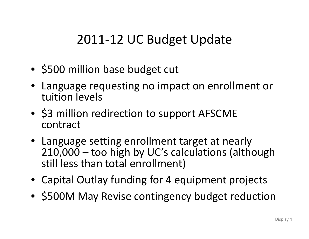#### 2011‐12 UC Budget Update

- \$500 million base budget cut
- Language requesting no impact on enrollment or tuition levels
- \$3 million redirection to support AFSCME contract
- Language setting enrollment target at nearly 210,000 – too high by UC's calculations (although still less than total enrollment)
- Capital Outlay funding for 4 equipment projects
- \$500M May Revise contingency budget reduction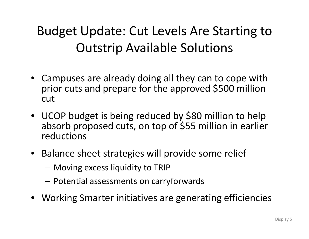## Budget Update: Cut Levels Are Starting to Outstrip Available Solutions

- Campuses are already doing all they can to cope with prior cuts and prepare for the approved \$500 million cut
- UCOP budget is being reduced by \$80 million to help absorb proposed cuts, on top of \$55 million in earlier reductions
- Balance sheet strategies will provide some relief
	- $-$  Moving excess liquidity to TRIP  $\,$
	- $-$  Potential assessments on carryforwards
- Working Smarter initiatives are generating efficiencies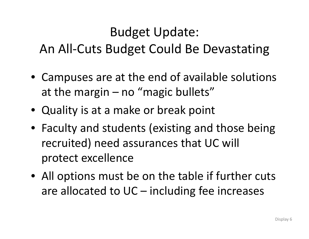#### Budget Update: An All‐Cuts Budget Could Be Devastating

- $\bullet$  Campuses are at the end of available solutions at the margin – no "magic bullets"
- Quality is at <sup>a</sup> make or break point
- Faculty and students (existing and those being recruited) need assurances that UC will protect excellence
- All options must be on the table if further cuts are allocated to UC – including fee increases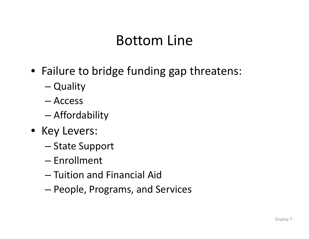#### Bottom Line

- Failure to bridge funding gap threatens:
	- Quality
	- Access
	- –Affordability
- Key Levers:
	- –— State Support
	- Enrollment
	- Tuition and Financial Aid
	- People, Programs, and Services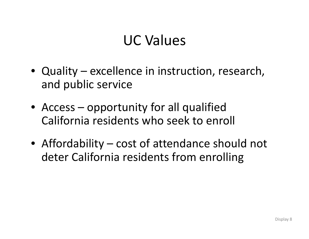## UC Values

- Quality excellence in instruction, research, and public service
- Access opportunity for all qualified California residents who seek to enroll
- Affordability cost of attendance should not deter California residents from enrolling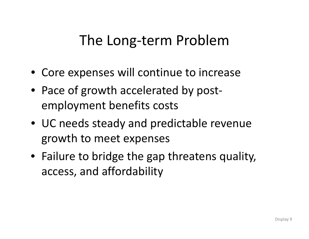## The Long‐term Problem

- Core expenses will continue to increase
- Pace of growth accelerated by post‐ employment benefits costs
- UC needs steady and predictable revenue growth to meet expenses
- Failure to bridge the gap threatens quality, access, and affordability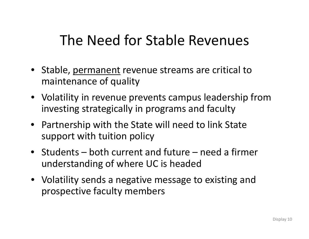## The Need for Stable Revenues

- Stable, <u>permanent</u> revenue streams are critical to maintenance of quality
- Volatility in revenue prevents campus leadership from investing strategically in programs and faculty
- Partnership with the State will need to link State support with tuition policy
- Students both current and future need <sup>a</sup> firmer understanding of where UC is headed
- Volatility sends <sup>a</sup> negative message to existing and prospective faculty members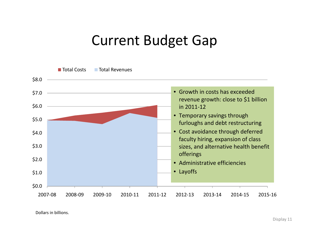#### Current Budget Gap

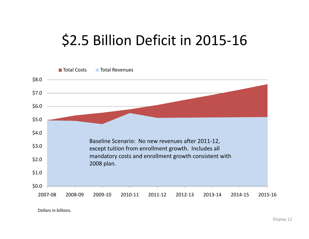## \$2.5 Billion Deficit in 2015‐16

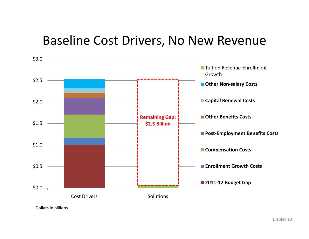#### Baseline Cost Drivers, No New Revenue

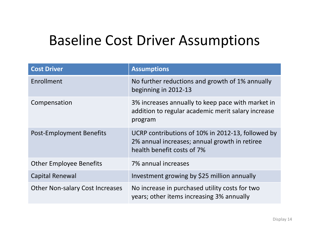## Baseline Cost Driver Assumptions

| <b>Cost Driver</b>                     | <b>Assumptions</b>                                                                                                               |  |
|----------------------------------------|----------------------------------------------------------------------------------------------------------------------------------|--|
| Enrollment                             | No further reductions and growth of 1% annually<br>beginning in 2012-13                                                          |  |
| Compensation                           | 3% increases annually to keep pace with market in<br>addition to regular academic merit salary increase<br>program               |  |
| Post-Employment Benefits               | UCRP contributions of 10% in 2012-13, followed by<br>2% annual increases; annual growth in retiree<br>health benefit costs of 7% |  |
| <b>Other Employee Benefits</b>         | 7% annual increases                                                                                                              |  |
| <b>Capital Renewal</b>                 | Investment growing by \$25 million annually                                                                                      |  |
| <b>Other Non-salary Cost Increases</b> | No increase in purchased utility costs for two<br>years; other items increasing 3% annually                                      |  |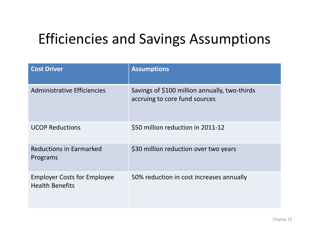## Efficiencies and Savings Assumptions

| <b>Cost Driver</b>                                           | <b>Assumptions</b>                                                             |
|--------------------------------------------------------------|--------------------------------------------------------------------------------|
| <b>Administrative Efficiencies</b>                           | Savings of \$100 million annually, two-thirds<br>accruing to core fund sources |
| <b>UCOP Reductions</b>                                       | \$50 million reduction in 2011-12                                              |
| <b>Reductions in Earmarked</b><br>Programs                   | \$30 million reduction over two years                                          |
| <b>Employer Costs for Employee</b><br><b>Health Benefits</b> | 50% reduction in cost increases annually                                       |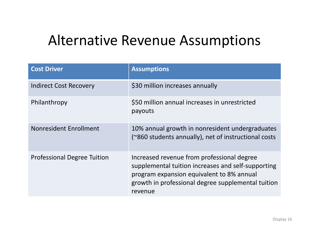## Alternative Revenue Assumptions

| <b>Cost Driver</b>                 | <b>Assumptions</b>                                                                                                                                                                                             |
|------------------------------------|----------------------------------------------------------------------------------------------------------------------------------------------------------------------------------------------------------------|
| <b>Indirect Cost Recovery</b>      | \$30 million increases annually                                                                                                                                                                                |
| Philanthropy                       | \$50 million annual increases in unrestricted<br>payouts                                                                                                                                                       |
| Nonresident Enrollment             | 10% annual growth in nonresident undergraduates<br>(~860 students annually), net of instructional costs                                                                                                        |
| <b>Professional Degree Tuition</b> | Increased revenue from professional degree<br>supplemental tuition increases and self-supporting<br>program expansion equivalent to 8% annual<br>growth in professional degree supplemental tuition<br>revenue |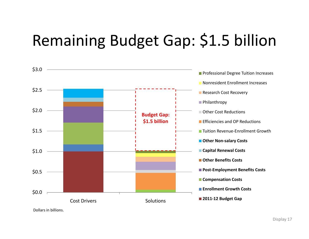# Remaining Budget Gap: \$1.5 billion

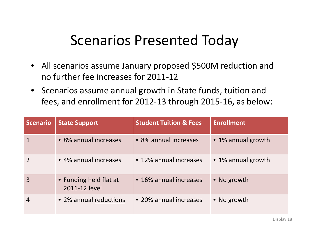#### Scenarios Presented Today

- All scenarios assume January proposed \$500M reduction and no further fee increases for 2011‐12
- Scenarios assume annual growth in State funds, tuition and fees, and enrollment for 2012‐13 through 2015‐16, as below:

| <b>Scenario</b> | <b>State Support</b>                    | <b>Student Tuition &amp; Fees</b> | <b>Enrollment</b>  |
|-----------------|-----------------------------------------|-----------------------------------|--------------------|
|                 | • 8% annual increases                   | • 8% annual increases             | • 1% annual growth |
|                 | • 4% annual increases                   | • 12% annual increases            | • 1% annual growth |
| 3               | • Funding held flat at<br>2011-12 level | • 16% annual increases            | • No growth        |
| 4               | • 2% annual reductions                  | • 20% annual increases            | • No growth        |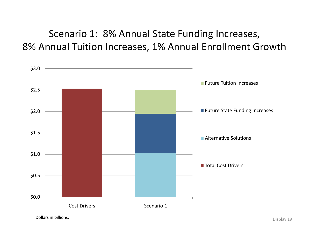Scenario 1: 8% Annual State Funding Increases, 8% Annual Tuition Increases, 1% Annual Enrollment Growth

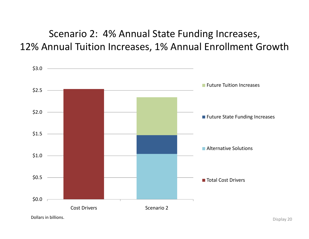Scenario 2: 4% Annual State Funding Increases, 12% Annual Tuition Increases, 1% Annual Enrollment Growth

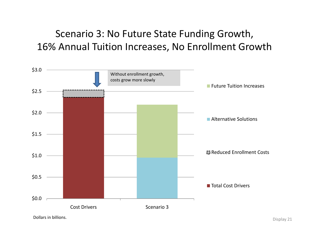Scenario 3: No Future State Funding Growth, 16% Annual Tuition Increases, No Enrollment Growth

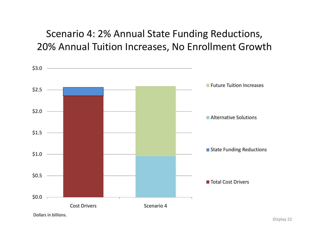#### Scenario 4: 2% Annual State Funding Reductions, 20% Annual Tuition Increases, No Enrollment Growth

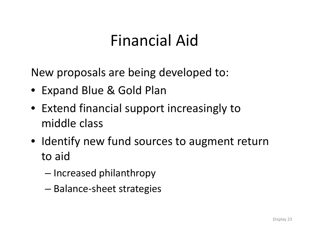## Financial Aid

New proposals are being developed to:

- Expand Blue & Gold Plan
- Extend financial support increasingly to middle class
- Identify new fund sources to augment return to aid
	- – $-$  Increased philanthropy
	- Balance‐sheet strategies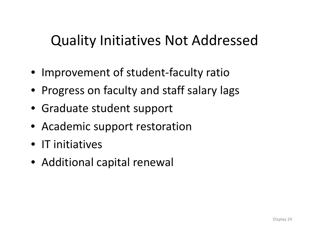## Quality Initiatives Not Addressed

- Improvement of student-faculty ratio
- Progress on faculty and staff salary lags
- Graduate student support
- Academic support restoration
- IT initiatives
- Additional capital renewal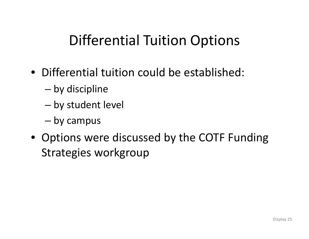## Differential Tuition Options

- Differential tuition could be established:
	- –by discipline
	- –by student level
	- by campus
- Options were discussed by the COTF Funding Strategies workgroup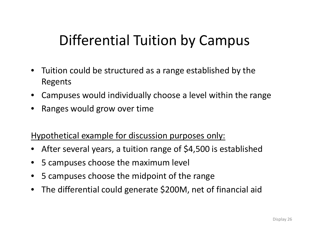## Differential Tuition by Campus

- $\bullet$  Tuition could be structured as <sup>a</sup> range established by the Regents
- Campuses would individually choose <sup>a</sup> level within the range
- •Ranges would grow over time

Hypothetical example for discussion purposes only:

- $\bullet$ After several years, <sup>a</sup> tuition range of \$4,500 is established
- •5 campuses choose the maximum level
- •5 campuses choose the midpoint of the range
- •The differential could generate \$200M, net of financial aid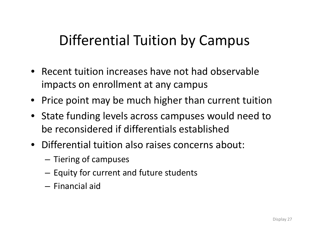## Differential Tuition by Campus

- Recent tuition increases have not had observable impacts on enrollment at any campus
- Price point may be much higher than current tuition
- State funding levels across campuses would need to be reconsidered if differentials established
- Differential tuition also raises concerns about:
	- $-$  Tiering of campuses
	- $-$  Equity for current and future students
	- Financial aid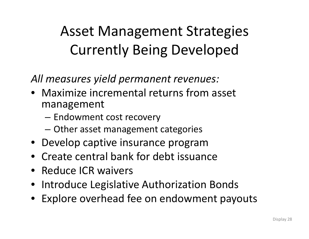## Asset Management Strategies **Currently Being Developed**

*All measures yield permanent revenues:*

- Maximize incremental returns from asset management
	- – $-$  Endowment cost recovery
	- –Other asset management categories
- Develop captive insurance program
- •• Create central bank for debt issuance
- Reduce ICR waivers
- Introduce Legislative Authorization Bonds
- Explore overhead fee on endowment payouts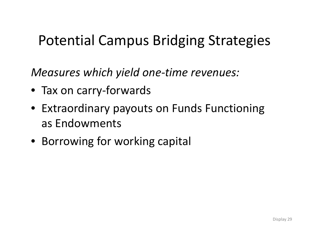## Potential Campus Bridging Strategies

*Measures which yield one‐time revenues:*

- Tax on carry‐forwards
- Extraordinary payouts on Funds Functioning as Endowments
- Borrowing for working capital